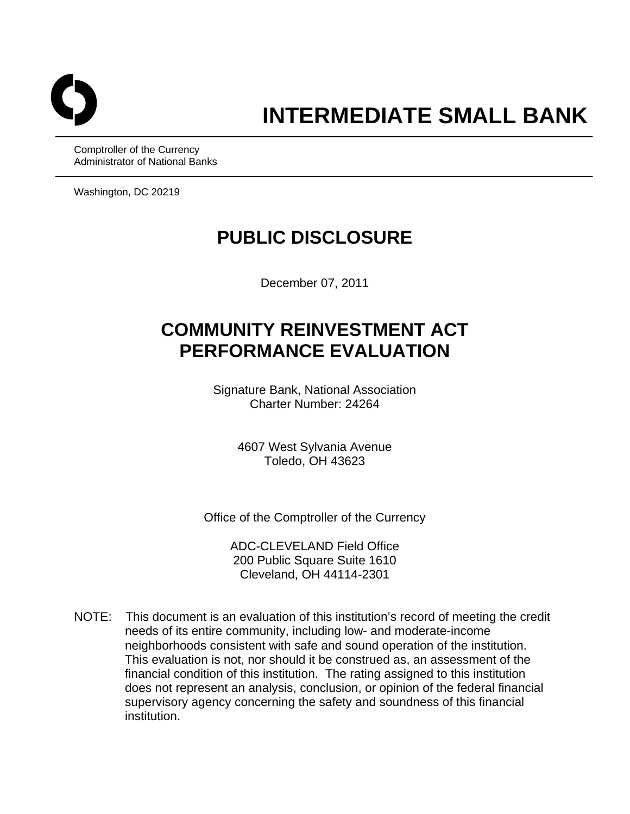

Comptroller of the Currency Administrator of National Banks

Washington, DC 20219

## **PUBLIC DISCLOSURE**

December 07, 2011

# **COMMUNITY REINVESTMENT ACT PERFORMANCE EVALUATION**

Signature Bank, National Association Charter Number: 24264

> 4607 West Sylvania Avenue Toledo, OH 43623

Office of the Comptroller of the Currency

ADC-CLEVELAND Field Office 200 Public Square Suite 1610 Cleveland, OH 44114-2301

NOTE: This document is an evaluation of this institution's record of meeting the credit needs of its entire community, including low- and moderate-income neighborhoods consistent with safe and sound operation of the institution. This evaluation is not, nor should it be construed as, an assessment of the financial condition of this institution. The rating assigned to this institution does not represent an analysis, conclusion, or opinion of the federal financial supervisory agency concerning the safety and soundness of this financial institution.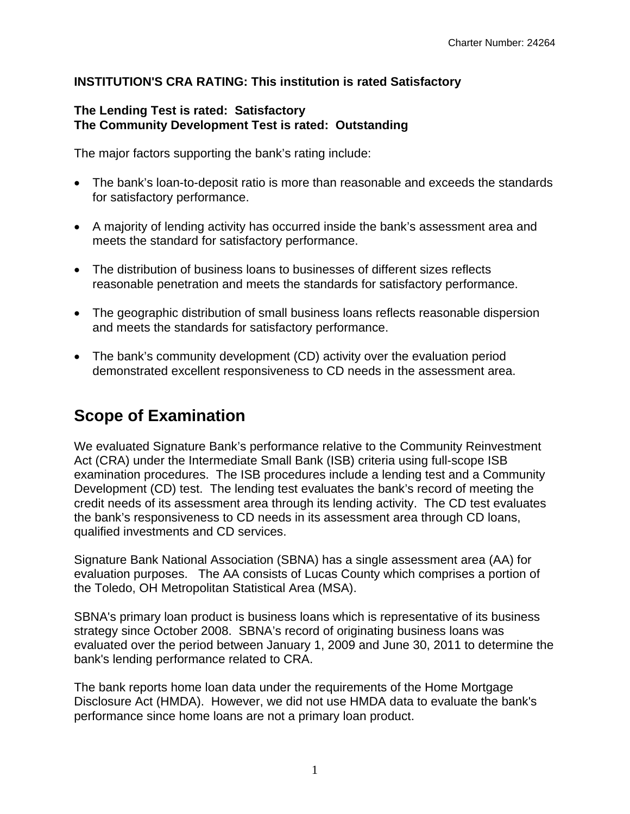#### **INSTITUTION'S CRA RATING: This institution is rated Satisfactory**

#### **The Lending Test is rated: Satisfactory The Community Development Test is rated: Outstanding**

The major factors supporting the bank's rating include:

- The bank's loan-to-deposit ratio is more than reasonable and exceeds the standards for satisfactory performance.
- A majority of lending activity has occurred inside the bank's assessment area and meets the standard for satisfactory performance.
- The distribution of business loans to businesses of different sizes reflects reasonable penetration and meets the standards for satisfactory performance.
- The geographic distribution of small business loans reflects reasonable dispersion and meets the standards for satisfactory performance.
- The bank's community development (CD) activity over the evaluation period demonstrated excellent responsiveness to CD needs in the assessment area.

### **Scope of Examination**

We evaluated Signature Bank's performance relative to the Community Reinvestment Act (CRA) under the Intermediate Small Bank (ISB) criteria using full-scope ISB examination procedures. The ISB procedures include a lending test and a Community Development (CD) test. The lending test evaluates the bank's record of meeting the credit needs of its assessment area through its lending activity. The CD test evaluates the bank's responsiveness to CD needs in its assessment area through CD loans, qualified investments and CD services.

Signature Bank National Association (SBNA) has a single assessment area (AA) for evaluation purposes. The AA consists of Lucas County which comprises a portion of the Toledo, OH Metropolitan Statistical Area (MSA).

SBNA's primary loan product is business loans which is representative of its business strategy since October 2008. SBNA's record of originating business loans was evaluated over the period between January 1, 2009 and June 30, 2011 to determine the bank's lending performance related to CRA.

The bank reports home loan data under the requirements of the Home Mortgage Disclosure Act (HMDA). However, we did not use HMDA data to evaluate the bank's performance since home loans are not a primary loan product.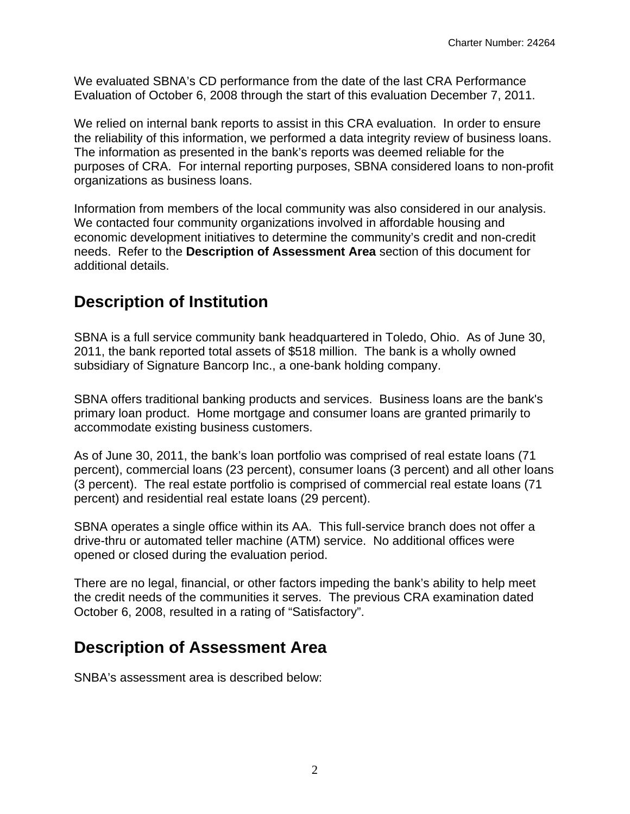We evaluated SBNA's CD performance from the date of the last CRA Performance Evaluation of October 6, 2008 through the start of this evaluation December 7, 2011.

We relied on internal bank reports to assist in this CRA evaluation. In order to ensure the reliability of this information, we performed a data integrity review of business loans. The information as presented in the bank's reports was deemed reliable for the purposes of CRA. For internal reporting purposes, SBNA considered loans to non-profit organizations as business loans.

Information from members of the local community was also considered in our analysis. We contacted four community organizations involved in affordable housing and economic development initiatives to determine the community's credit and non-credit needs. Refer to the **Description of Assessment Area** section of this document for additional details.

### **Description of Institution**

SBNA is a full service community bank headquartered in Toledo, Ohio. As of June 30, 2011, the bank reported total assets of \$518 million. The bank is a wholly owned subsidiary of Signature Bancorp Inc., a one-bank holding company.

SBNA offers traditional banking products and services. Business loans are the bank's primary loan product. Home mortgage and consumer loans are granted primarily to accommodate existing business customers.

As of June 30, 2011, the bank's loan portfolio was comprised of real estate loans (71 percent), commercial loans (23 percent), consumer loans (3 percent) and all other loans (3 percent). The real estate portfolio is comprised of commercial real estate loans (71 percent) and residential real estate loans (29 percent).

SBNA operates a single office within its AA. This full-service branch does not offer a drive-thru or automated teller machine (ATM) service. No additional offices were opened or closed during the evaluation period.

There are no legal, financial, or other factors impeding the bank's ability to help meet the credit needs of the communities it serves. The previous CRA examination dated October 6, 2008, resulted in a rating of "Satisfactory".

### **Description of Assessment Area**

SNBA's assessment area is described below: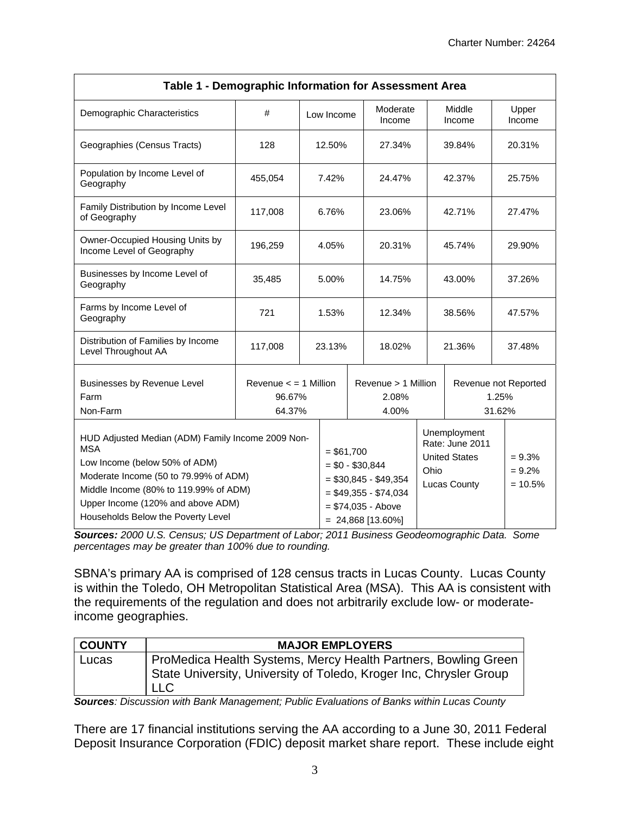| Table 1 - Demographic Information for Assessment Area                                                                                                                                                                                                         |                                               |  |            |                                                                                                                                 |                                       |                                                                                        |                                         |                                   |                 |
|---------------------------------------------------------------------------------------------------------------------------------------------------------------------------------------------------------------------------------------------------------------|-----------------------------------------------|--|------------|---------------------------------------------------------------------------------------------------------------------------------|---------------------------------------|----------------------------------------------------------------------------------------|-----------------------------------------|-----------------------------------|-----------------|
| Demographic Characteristics                                                                                                                                                                                                                                   | #                                             |  | Low Income |                                                                                                                                 | Moderate<br>Income                    |                                                                                        | Middle<br>Income                        |                                   | Upper<br>Income |
| Geographies (Census Tracts)                                                                                                                                                                                                                                   | 128                                           |  | 12.50%     |                                                                                                                                 | 27.34%                                | 39.84%                                                                                 |                                         |                                   | 20.31%          |
| Population by Income Level of<br>Geography                                                                                                                                                                                                                    | 455,054                                       |  | 7.42%      |                                                                                                                                 | 24.47%                                |                                                                                        | 42.37%                                  |                                   | 25.75%          |
| Family Distribution by Income Level<br>of Geography                                                                                                                                                                                                           | 117,008<br>6.76%                              |  |            | 23.06%                                                                                                                          |                                       | 42.71%                                                                                 |                                         | 27.47%                            |                 |
| Owner-Occupied Housing Units by<br>Income Level of Geography                                                                                                                                                                                                  | 196,259                                       |  | 4.05%      |                                                                                                                                 | 20.31%                                |                                                                                        | 45.74%                                  |                                   | 29.90%          |
| Businesses by Income Level of<br>Geography                                                                                                                                                                                                                    | 35,485<br>5.00%                               |  |            |                                                                                                                                 | 14.75%                                | 43.00%                                                                                 |                                         |                                   | 37.26%          |
| Farms by Income Level of<br>Geography                                                                                                                                                                                                                         | 721<br>1.53%                                  |  |            |                                                                                                                                 | 12.34%                                | 38.56%                                                                                 |                                         |                                   | 47.57%          |
| Distribution of Families by Income<br>Level Throughout AA                                                                                                                                                                                                     | 117,008<br>23.13%                             |  |            |                                                                                                                                 | 18.02%                                | 21.36%                                                                                 |                                         |                                   | 37.48%          |
| Businesses by Revenue Level<br>Farm<br>Non-Farm                                                                                                                                                                                                               | Revenue $\le$ = 1 Million<br>96.67%<br>64.37% |  |            |                                                                                                                                 | Revenue > 1 Million<br>2.08%<br>4.00% |                                                                                        | Revenue not Reported<br>1.25%<br>31.62% |                                   |                 |
| HUD Adjusted Median (ADM) Family Income 2009 Non-<br><b>MSA</b><br>Low Income (below 50% of ADM)<br>Moderate Income (50 to 79.99% of ADM)<br>Middle Income (80% to 119.99% of ADM)<br>Upper Income (120% and above ADM)<br>Households Below the Poverty Level |                                               |  |            | $= $61,700$<br>$= $0 - $30,844$<br>$= $30,845 - $49,354$<br>$= $49,355 - $74,034$<br>$= $74,035 - Above$<br>$= 24,868$ [13.60%] |                                       | Unemployment<br>Rate: June 2011<br><b>United States</b><br>Ohio<br><b>Lucas County</b> |                                         | $= 9.3%$<br>$= 9.2%$<br>$= 10.5%$ |                 |

*Sources: 2000 U.S. Census; US Department of Labor; 2011 Business Geodeomographic Data. Some percentages may be greater than 100% due to rounding.* 

SBNA's primary AA is comprised of 128 census tracts in Lucas County. Lucas County is within the Toledo, OH Metropolitan Statistical Area (MSA). This AA is consistent with the requirements of the regulation and does not arbitrarily exclude low- or moderateincome geographies.

| <b>COUNTY</b> | <b>MAJOR EMPLOYERS</b>                                                                                                                             |
|---------------|----------------------------------------------------------------------------------------------------------------------------------------------------|
| Lucas         | ProMedica Health Systems, Mercy Health Partners, Bowling Green<br>State University, University of Toledo, Kroger Inc, Chrysler Group<br><b>LLC</b> |

*Sources: Discussion with Bank Management; Public Evaluations of Banks within Lucas County* 

There are 17 financial institutions serving the AA according to a June 30, 2011 Federal Deposit Insurance Corporation (FDIC) deposit market share report. These include eight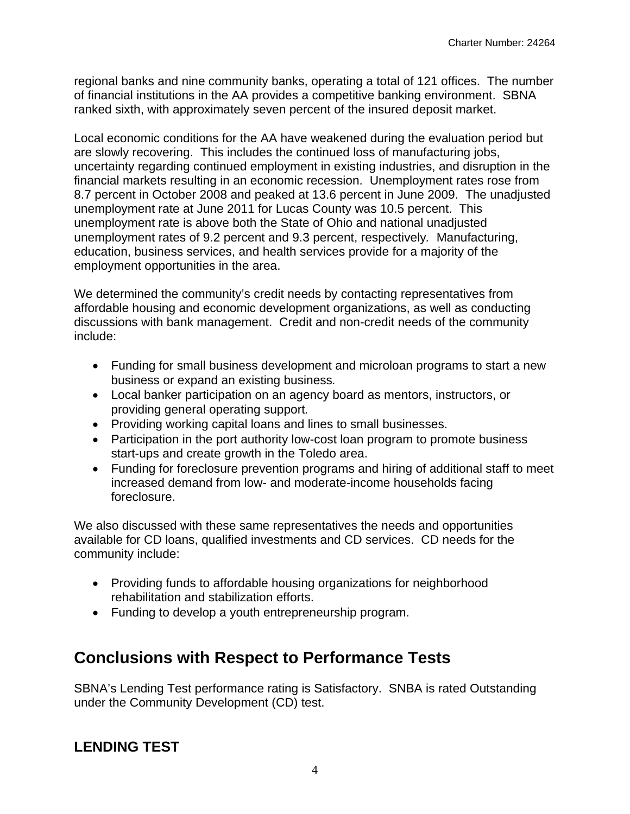regional banks and nine community banks, operating a total of 121 offices. The number of financial institutions in the AA provides a competitive banking environment. SBNA ranked sixth, with approximately seven percent of the insured deposit market.

 unemployment rate at June 2011 for Lucas County was 10.5 percent. This Local economic conditions for the AA have weakened during the evaluation period but are slowly recovering. This includes the continued loss of manufacturing jobs, uncertainty regarding continued employment in existing industries, and disruption in the financial markets resulting in an economic recession. Unemployment rates rose from 8.7 percent in October 2008 and peaked at 13.6 percent in June 2009. The unadjusted unemployment rate is above both the State of Ohio and national unadjusted unemployment rates of 9.2 percent and 9.3 percent, respectively*.* Manufacturing, education, business services, and health services provide for a majority of the employment opportunities in the area.

We determined the community's credit needs by contacting representatives from affordable housing and economic development organizations, as well as conducting discussions with bank management. Credit and non-credit needs of the community include:

- Funding for small business development and microloan programs to start a new business or expand an existing business*.*
- Local banker participation on an agency board as mentors, instructors, or providing general operating support*.*
- Providing working capital loans and lines to small businesses.
- Participation in the port authority low-cost loan program to promote business start-ups and create growth in the Toledo area.
- Funding for foreclosure prevention programs and hiring of additional staff to meet increased demand from low- and moderate-income households facing foreclosure.

We also discussed with these same representatives the needs and opportunities available for CD loans, qualified investments and CD services. CD needs for the community include:

- Providing funds to affordable housing organizations for neighborhood rehabilitation and stabilization efforts.
- Funding to develop a youth entrepreneurship program.

### **Conclusions with Respect to Performance Tests**

SBNA's Lending Test performance rating is Satisfactory. SNBA is rated Outstanding under the Community Development (CD) test.

### **LENDING TEST**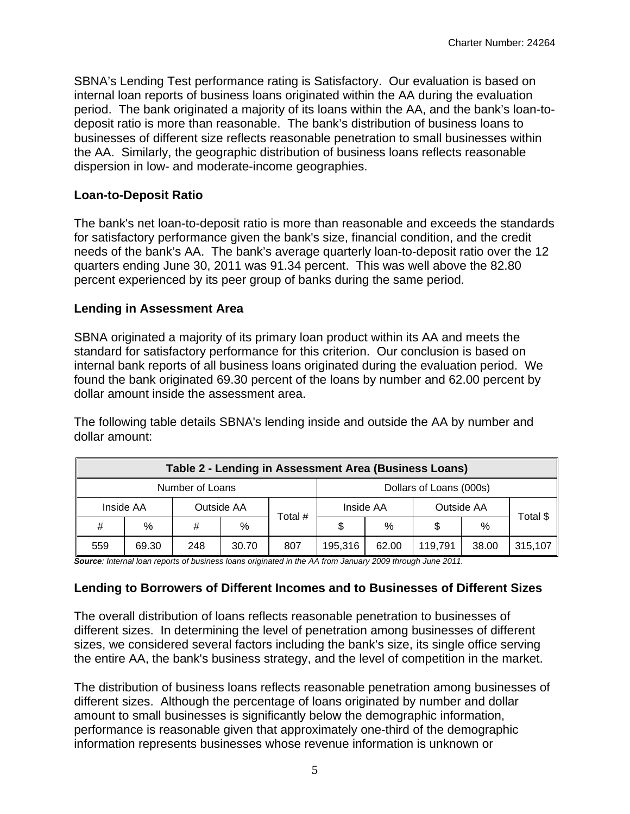SBNA's Lending Test performance rating is Satisfactory. Our evaluation is based on internal loan reports of business loans originated within the AA during the evaluation period. The bank originated a majority of its loans within the AA, and the bank's loan-todeposit ratio is more than reasonable. The bank's distribution of business loans to businesses of different size reflects reasonable penetration to small businesses within the AA. Similarly, the geographic distribution of business loans reflects reasonable dispersion in low- and moderate-income geographies.

#### **Loan-to-Deposit Ratio**

The bank's net loan-to-deposit ratio is more than reasonable and exceeds the standards for satisfactory performance given the bank's size, financial condition, and the credit needs of the bank's AA. The bank's average quarterly loan-to-deposit ratio over the 12 quarters ending June 30, 2011 was 91.34 percent. This was well above the 82.80 percent experienced by its peer group of banks during the same period.

#### **Lending in Assessment Area**

SBNA originated a majority of its primary loan product within its AA and meets the standard for satisfactory performance for this criterion. Our conclusion is based on internal bank reports of all business loans originated during the evaluation period. We found the bank originated 69.30 percent of the loans by number and 62.00 percent by dollar amount inside the assessment area.

The following table details SBNA's lending inside and outside the AA by number and dollar amount:

| Table 2 - Lending in Assessment Area (Business Loans) |           |     |            |                         |           |               |            |       |          |  |
|-------------------------------------------------------|-----------|-----|------------|-------------------------|-----------|---------------|------------|-------|----------|--|
| Number of Loans                                       |           |     |            | Dollars of Loans (000s) |           |               |            |       |          |  |
|                                                       | Inside AA |     | Outside AA |                         | Inside AA |               | Outside AA |       |          |  |
| #                                                     | $\%$      | #   | %          | Total #                 | \$        | $\frac{0}{0}$ | \$         | $\%$  | Total \$ |  |
| 559                                                   | 69.30     | 248 | 30.70      | 807                     | 195,316   | 62.00         | 119,791    | 38.00 | 315,107  |  |

*Source: Internal loan reports of business loans originated in the AA from January 2009 through June 2011.* 

#### **Lending to Borrowers of Different Incomes and to Businesses of Different Sizes**

The overall distribution of loans reflects reasonable penetration to businesses of different sizes. In determining the level of penetration among businesses of different sizes, we considered several factors including the bank's size, its single office serving the entire AA, the bank's business strategy, and the level of competition in the market.

The distribution of business loans reflects reasonable penetration among businesses of different sizes. Although the percentage of loans originated by number and dollar amount to small businesses is significantly below the demographic information, performance is reasonable given that approximately one-third of the demographic information represents businesses whose revenue information is unknown or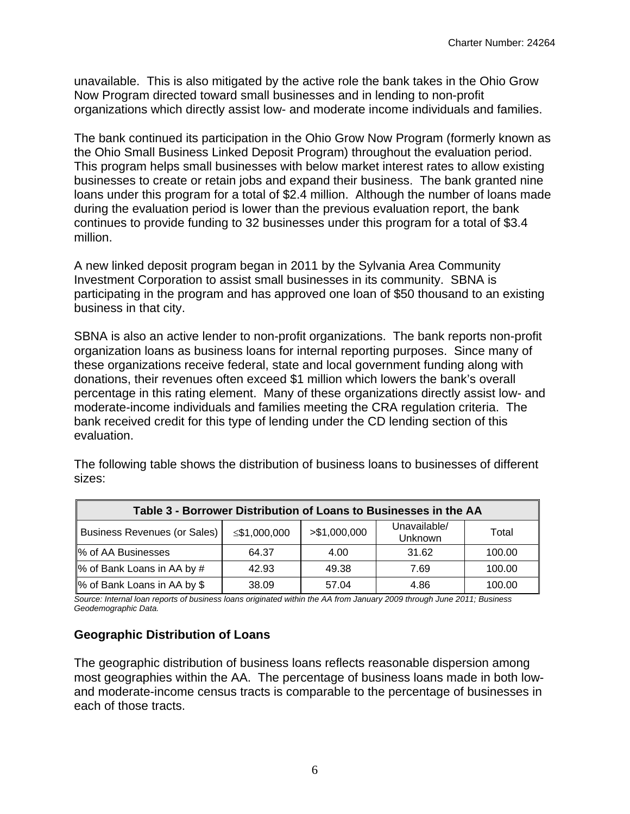unavailable. This is also mitigated by the active role the bank takes in the Ohio Grow Now Program directed toward small businesses and in lending to non-profit organizations which directly assist low- and moderate income individuals and families.

The bank continued its participation in the Ohio Grow Now Program (formerly known as the Ohio Small Business Linked Deposit Program) throughout the evaluation period. This program helps small businesses with below market interest rates to allow existing businesses to create or retain jobs and expand their business. The bank granted nine loans under this program for a total of \$2.4 million. Although the number of loans made during the evaluation period is lower than the previous evaluation report, the bank continues to provide funding to 32 businesses under this program for a total of \$3.4 million.

A new linked deposit program began in 2011 by the Sylvania Area Community Investment Corporation to assist small businesses in its community. SBNA is participating in the program and has approved one loan of \$50 thousand to an existing business in that city.

SBNA is also an active lender to non-profit organizations. The bank reports non-profit organization loans as business loans for internal reporting purposes. Since many of these organizations receive federal, state and local government funding along with donations, their revenues often exceed \$1 million which lowers the bank's overall percentage in this rating element. Many of these organizations directly assist low- and moderate-income individuals and families meeting the CRA regulation criteria. The bank received credit for this type of lending under the CD lending section of this evaluation.

| Table 3 - Borrower Distribution of Loans to Businesses in the AA |              |               |                         |        |  |  |  |
|------------------------------------------------------------------|--------------|---------------|-------------------------|--------|--|--|--|
| <b>Business Revenues (or Sales)</b>                              | ≤\$1,000,000 | > \$1,000,000 | Unavailable/<br>Unknown | Total  |  |  |  |
| <b>Ⅰ% of AA Businesses</b>                                       | 64.37        | 4.00          | 31.62                   | 100.00 |  |  |  |
| % of Bank Loans in AA by #                                       | 42.93        | 49.38         | 7.69                    | 100.00 |  |  |  |
| <sup>1</sup> % of Bank Loans in AA by \$                         | 38.09        | 57.04         | 4.86                    | 100.00 |  |  |  |

The following table shows the distribution of business loans to businesses of different sizes:

*Source: Internal loan reports of business loans originated within the AA from January 2009 through June 2011; Business Geodemographic Data.* 

#### **Geographic Distribution of Loans**

The geographic distribution of business loans reflects reasonable dispersion among most geographies within the AA. The percentage of business loans made in both lowand moderate-income census tracts is comparable to the percentage of businesses in each of those tracts.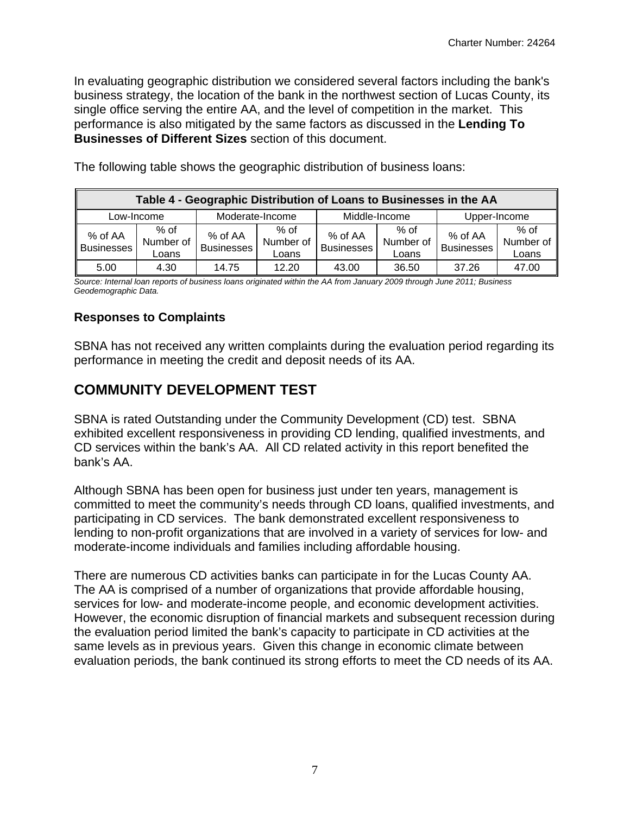In evaluating geographic distribution we considered several factors including the bank's business strategy, the location of the bank in the northwest section of Lucas County, its single office serving the entire AA, and the level of competition in the market. This performance is also mitigated by the same factors as discussed in the **Lending To Businesses of Different Sizes** section of this document.

| Table 4 - Geographic Distribution of Loans to Businesses in the AA |                            |                              |                              |                              |                            |                              |                              |  |
|--------------------------------------------------------------------|----------------------------|------------------------------|------------------------------|------------------------------|----------------------------|------------------------------|------------------------------|--|
| Low-Income                                                         |                            | Moderate-Income              |                              |                              | Middle-Income              | Upper-Income                 |                              |  |
| % of AA<br><b>Businesses</b>                                       | % of<br>Number of<br>Loans | % of AA<br><b>Businesses</b> | $%$ of<br>Number of<br>Loans | % of AA<br><b>Businesses</b> | % of<br>Number of<br>Loans | % of AA<br><b>Businesses</b> | $%$ of<br>Number of<br>Loans |  |
| 5.00                                                               | 4.30                       | 14.75                        | 12.20                        | 43.00                        | 36.50                      | 37.26                        | 47.00                        |  |

The following table shows the geographic distribution of business loans:

*Source: Internal loan reports of business loans originated within the AA from January 2009 through June 2011; Business Geodemographic Data.* 

#### **Responses to Complaints**

SBNA has not received any written complaints during the evaluation period regarding its performance in meeting the credit and deposit needs of its AA.

### **COMMUNITY DEVELOPMENT TEST**

SBNA is rated Outstanding under the Community Development (CD) test. SBNA exhibited excellent responsiveness in providing CD lending, qualified investments, and CD services within the bank's AA. All CD related activity in this report benefited the bank's AA.

Although SBNA has been open for business just under ten years, management is committed to meet the community's needs through CD loans, qualified investments, and participating in CD services. The bank demonstrated excellent responsiveness to lending to non-profit organizations that are involved in a variety of services for low- and moderate-income individuals and families including affordable housing.

There are numerous CD activities banks can participate in for the Lucas County AA. The AA is comprised of a number of organizations that provide affordable housing, services for low- and moderate-income people, and economic development activities. However, the economic disruption of financial markets and subsequent recession during the evaluation period limited the bank's capacity to participate in CD activities at the same levels as in previous years. Given this change in economic climate between evaluation periods, the bank continued its strong efforts to meet the CD needs of its AA.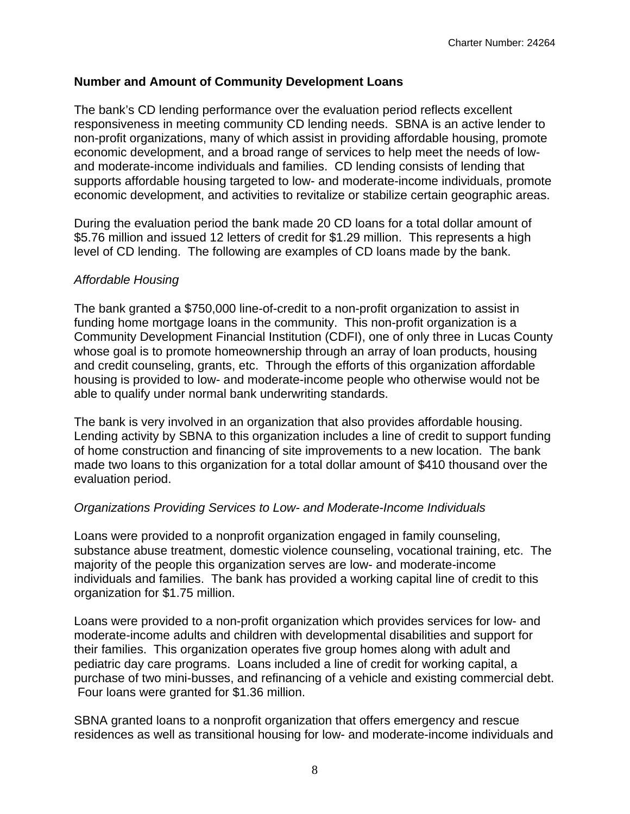#### **Number and Amount of Community Development Loans**

The bank's CD lending performance over the evaluation period reflects excellent responsiveness in meeting community CD lending needs. SBNA is an active lender to non-profit organizations, many of which assist in providing affordable housing, promote economic development, and a broad range of services to help meet the needs of lowand moderate-income individuals and families. CD lending consists of lending that supports affordable housing targeted to low- and moderate-income individuals, promote economic development, and activities to revitalize or stabilize certain geographic areas.

During the evaluation period the bank made 20 CD loans for a total dollar amount of \$5.76 million and issued 12 letters of credit for \$1.29 million. This represents a high level of CD lending. The following are examples of CD loans made by the bank.

#### *Affordable Housing*

The bank granted a \$750,000 line-of-credit to a non-profit organization to assist in funding home mortgage loans in the community. This non-profit organization is a Community Development Financial Institution (CDFI), one of only three in Lucas County whose goal is to promote homeownership through an array of loan products, housing and credit counseling, grants, etc. Through the efforts of this organization affordable housing is provided to low- and moderate-income people who otherwise would not be able to qualify under normal bank underwriting standards.

The bank is very involved in an organization that also provides affordable housing. Lending activity by SBNA to this organization includes a line of credit to support funding of home construction and financing of site improvements to a new location. The bank made two loans to this organization for a total dollar amount of \$410 thousand over the evaluation period.

#### *Organizations Providing Services to Low- and Moderate-Income Individuals*

Loans were provided to a nonprofit organization engaged in family counseling, substance abuse treatment, domestic violence counseling, vocational training, etc. The majority of the people this organization serves are low- and moderate-income individuals and families. The bank has provided a working capital line of credit to this organization for \$1.75 million.

Loans were provided to a non-profit organization which provides services for low- and moderate-income adults and children with developmental disabilities and support for their families. This organization operates five group homes along with adult and pediatric day care programs. Loans included a line of credit for working capital, a purchase of two mini-busses, and refinancing of a vehicle and existing commercial debt. Four loans were granted for \$1.36 million.

SBNA granted loans to a nonprofit organization that offers emergency and rescue residences as well as transitional housing for low- and moderate-income individuals and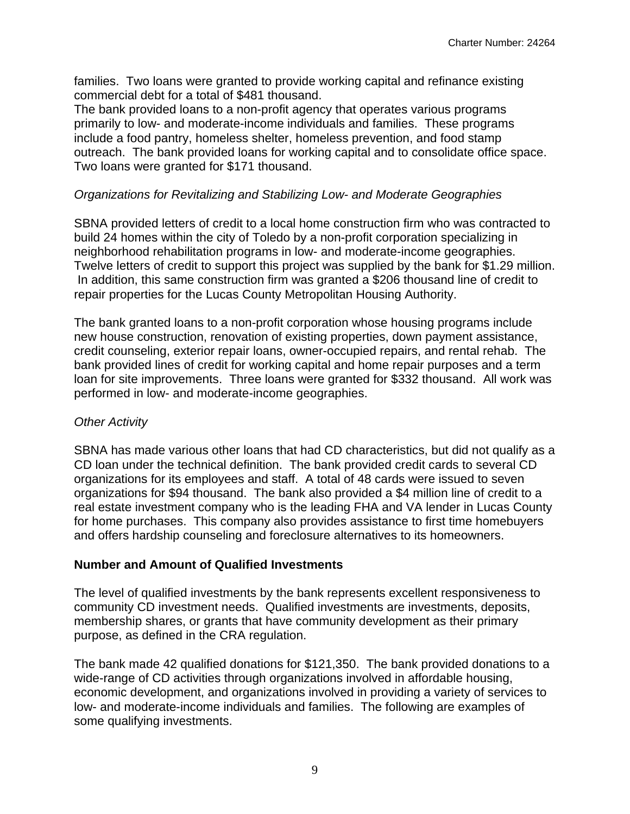families. Two loans were granted to provide working capital and refinance existing commercial debt for a total of \$481 thousand.

The bank provided loans to a non-profit agency that operates various programs primarily to low- and moderate-income individuals and families. These programs include a food pantry, homeless shelter, homeless prevention, and food stamp outreach. The bank provided loans for working capital and to consolidate office space. Two loans were granted for \$171 thousand.

#### *Organizations for Revitalizing and Stabilizing Low- and Moderate Geographies*

SBNA provided letters of credit to a local home construction firm who was contracted to build 24 homes within the city of Toledo by a non-profit corporation specializing in neighborhood rehabilitation programs in low- and moderate-income geographies. Twelve letters of credit to support this project was supplied by the bank for \$1.29 million. In addition, this same construction firm was granted a \$206 thousand line of credit to repair properties for the Lucas County Metropolitan Housing Authority.

The bank granted loans to a non-profit corporation whose housing programs include new house construction, renovation of existing properties, down payment assistance, credit counseling, exterior repair loans, owner-occupied repairs, and rental rehab. The bank provided lines of credit for working capital and home repair purposes and a term loan for site improvements. Three loans were granted for \$332 thousand. All work was performed in low- and moderate-income geographies.

#### *Other Activity*

SBNA has made various other loans that had CD characteristics, but did not qualify as a CD loan under the technical definition. The bank provided credit cards to several CD organizations for its employees and staff. A total of 48 cards were issued to seven organizations for \$94 thousand. The bank also provided a \$4 million line of credit to a real estate investment company who is the leading FHA and VA lender in Lucas County for home purchases. This company also provides assistance to first time homebuyers and offers hardship counseling and foreclosure alternatives to its homeowners.

#### **Number and Amount of Qualified Investments**

The level of qualified investments by the bank represents excellent responsiveness to community CD investment needs. Qualified investments are investments, deposits, membership shares, or grants that have community development as their primary purpose, as defined in the CRA regulation.

The bank made 42 qualified donations for \$121,350. The bank provided donations to a wide-range of CD activities through organizations involved in affordable housing, economic development, and organizations involved in providing a variety of services to low- and moderate-income individuals and families. The following are examples of some qualifying investments.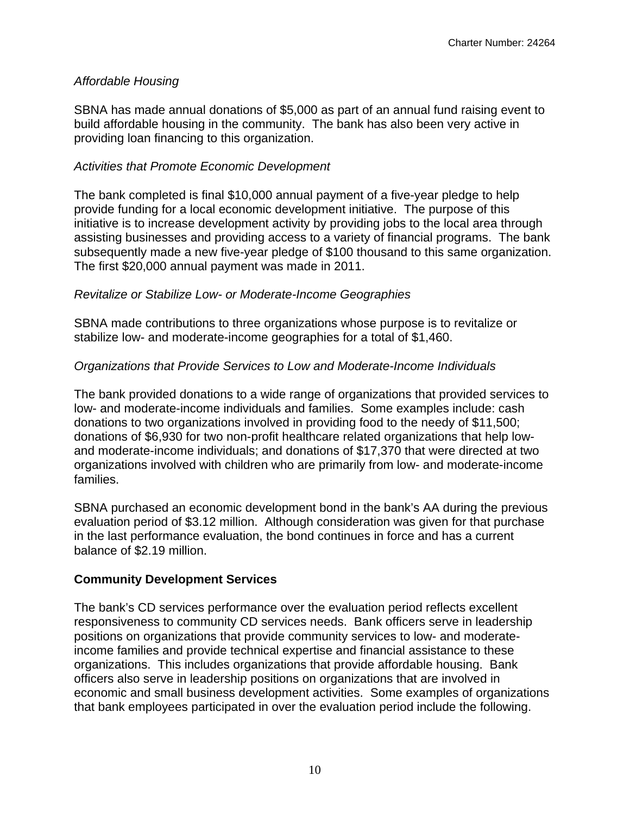#### *Affordable Housing*

SBNA has made annual donations of \$5,000 as part of an annual fund raising event to build affordable housing in the community. The bank has also been very active in providing loan financing to this organization.

#### *Activities that Promote Economic Development*

The bank completed is final \$10,000 annual payment of a five-year pledge to help provide funding for a local economic development initiative. The purpose of this initiative is to increase development activity by providing jobs to the local area through assisting businesses and providing access to a variety of financial programs. The bank subsequently made a new five-year pledge of \$100 thousand to this same organization. The first \$20,000 annual payment was made in 2011.

#### *Revitalize or Stabilize Low- or Moderate-Income Geographies*

SBNA made contributions to three organizations whose purpose is to revitalize or stabilize low- and moderate-income geographies for a total of \$1,460.

#### *Organizations that Provide Services to Low and Moderate-Income Individuals*

The bank provided donations to a wide range of organizations that provided services to low- and moderate-income individuals and families. Some examples include: cash donations to two organizations involved in providing food to the needy of \$11,500; donations of \$6,930 for two non-profit healthcare related organizations that help lowand moderate-income individuals; and donations of \$17,370 that were directed at two organizations involved with children who are primarily from low- and moderate-income families.

SBNA purchased an economic development bond in the bank's AA during the previous evaluation period of \$3.12 million. Although consideration was given for that purchase in the last performance evaluation, the bond continues in force and has a current balance of \$2.19 million.

#### **Community Development Services**

The bank's CD services performance over the evaluation period reflects excellent responsiveness to community CD services needs. Bank officers serve in leadership positions on organizations that provide community services to low- and moderateincome families and provide technical expertise and financial assistance to these organizations. This includes organizations that provide affordable housing. Bank officers also serve in leadership positions on organizations that are involved in economic and small business development activities. Some examples of organizations that bank employees participated in over the evaluation period include the following.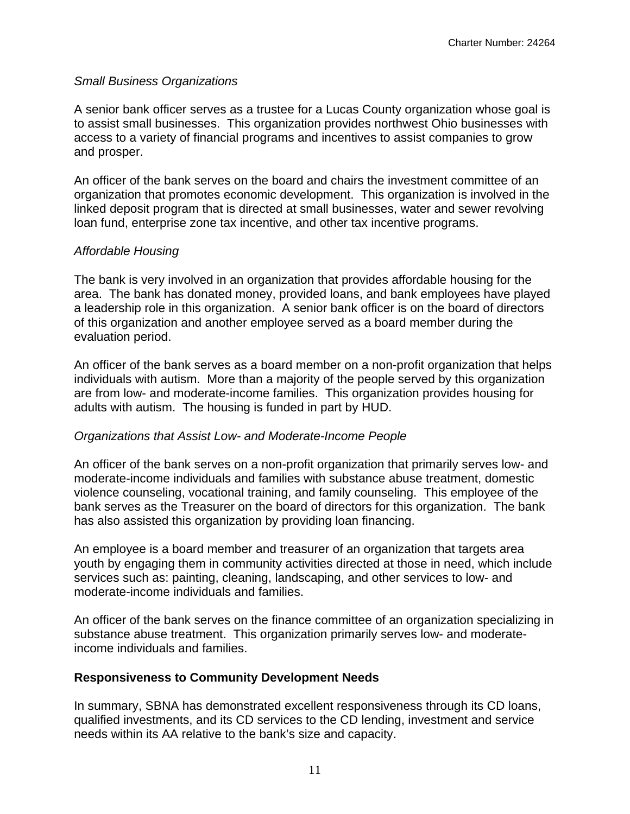#### *Small Business Organizations*

A senior bank officer serves as a trustee for a Lucas County organization whose goal is to assist small businesses. This organization provides northwest Ohio businesses with access to a variety of financial programs and incentives to assist companies to grow and prosper.

An officer of the bank serves on the board and chairs the investment committee of an organization that promotes economic development. This organization is involved in the linked deposit program that is directed at small businesses, water and sewer revolving loan fund, enterprise zone tax incentive, and other tax incentive programs.

#### *Affordable Housing*

The bank is very involved in an organization that provides affordable housing for the area. The bank has donated money, provided loans, and bank employees have played a leadership role in this organization. A senior bank officer is on the board of directors of this organization and another employee served as a board member during the evaluation period.

An officer of the bank serves as a board member on a non-profit organization that helps individuals with autism. More than a majority of the people served by this organization are from low- and moderate-income families. This organization provides housing for adults with autism. The housing is funded in part by HUD.

#### *Organizations that Assist Low- and Moderate-Income People*

An officer of the bank serves on a non-profit organization that primarily serves low- and moderate-income individuals and families with substance abuse treatment, domestic violence counseling, vocational training, and family counseling. This employee of the bank serves as the Treasurer on the board of directors for this organization. The bank has also assisted this organization by providing loan financing.

An employee is a board member and treasurer of an organization that targets area youth by engaging them in community activities directed at those in need, which include services such as: painting, cleaning, landscaping, and other services to low- and moderate-income individuals and families.

An officer of the bank serves on the finance committee of an organization specializing in substance abuse treatment. This organization primarily serves low- and moderateincome individuals and families.

#### **Responsiveness to Community Development Needs**

In summary, SBNA has demonstrated excellent responsiveness through its CD loans, qualified investments, and its CD services to the CD lending, investment and service needs within its AA relative to the bank's size and capacity.